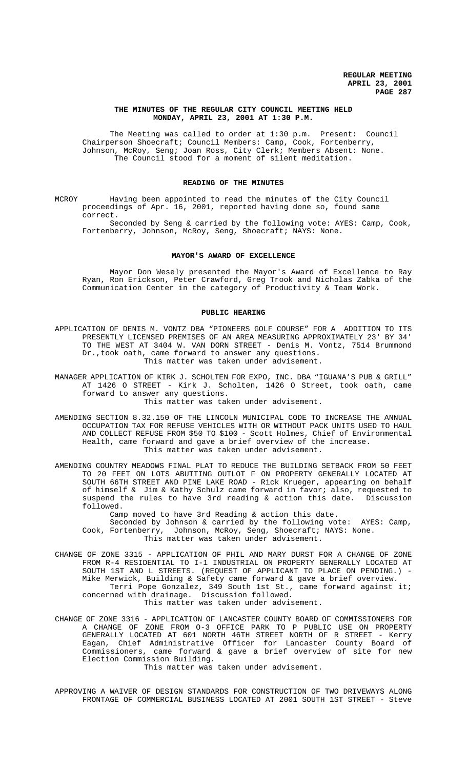### **THE MINUTES OF THE REGULAR CITY COUNCIL MEETING HELD MONDAY, APRIL 23, 2001 AT 1:30 P.M.**

The Meeting was called to order at 1:30 p.m. Present: Council Chairperson Shoecraft; Council Members: Camp, Cook, Fortenberry, Johnson, McRoy, Seng; Joan Ross, City Clerk; Members Absent: None. The Council stood for a moment of silent meditation.

## **READING OF THE MINUTES**

MCROY Having been appointed to read the minutes of the City Council proceedings of Apr. 16, 2001, reported having done so, found same correct.

Seconded by Seng & carried by the following vote: AYES: Camp, Cook, Fortenberry, Johnson, McRoy, Seng, Shoecraft; NAYS: None.

#### **MAYOR'S AWARD OF EXCELLENCE**

Mayor Don Wesely presented the Mayor's Award of Excellence to Ray Ryan, Ron Erickson, Peter Crawford, Greg Trook and Nicholas Zabka of the Communication Center in the category of Productivity & Team Work.

### **PUBLIC HEARING**

APPLICATION OF DENIS M. VONTZ DBA "PIONEERS GOLF COURSE" FOR A ADDITION TO ITS PRESENTLY LICENSED PREMISES OF AN AREA MEASURING APPROXIMATELY 23' BY 34' TO THE WEST AT 3404 W. VAN DORN STREET - Denis M. Vontz, 7514 Brummond Dr.,took oath, came forward to answer any questions. This matter was taken under advisement.

- MANAGER APPLICATION OF KIRK J. SCHOLTEN FOR EXPO, INC. DBA "IGUANA'S PUB & GRILL" AT 1426 O STREET - Kirk J. Scholten, 1426 O Street, took oath, came forward to answer any questions. This matter was taken under advisement.
- AMENDING SECTION 8.32.150 OF THE LINCOLN MUNICIPAL CODE TO INCREASE THE ANNUAL OCCUPATION TAX FOR REFUSE VEHICLES WITH OR WITHOUT PACK UNITS USED TO HAUL AND COLLECT REFUSE FROM \$50 TO \$100 - Scott Holmes, Chief of Environmental Health, came forward and gave a brief overview of the increase. This matter was taken under advisement.
- AMENDING COUNTRY MEADOWS FINAL PLAT TO REDUCE THE BUILDING SETBACK FROM 50 FEET TO 20 FEET ON LOTS ABUTTING OUTLOT F ON PROPERTY GENERALLY LOCATED AT SOUTH 66TH STREET AND PINE LAKE ROAD - Rick Krueger, appearing on behalf of himself & Jim & Kathy Schulz came forward in favor; also, requested to suspend the rules to have 3rd reading & action this date. Discussion followed.

Camp moved to have 3rd Reading & action this date.

- Seconded by Johnson & carried by the following vote: AYES: Camp, Cook, Fortenberry, Johnson, McRoy, Seng, Shoecraft; NAYS: None. This matter was taken under advisement.
- CHANGE OF ZONE 3315 APPLICATION OF PHIL AND MARY DURST FOR A CHANGE OF ZONE FROM R-4 RESIDENTIAL TO I-1 INDUSTRIAL ON PROPERTY GENERALLY LOCATED AT SOUTH 1ST AND L STREETS. (REQUEST OF APPLICANT TO PLACE ON PENDING.) - Mike Merwick, Building & Safety came forward & gave a brief overview. Terri Pope Gonzalez, 349 South 1st St., came forward against it; concerned with drainage. Discussion followed. This matter was taken under advisement.
- CHANGE OF ZONE 3316 APPLICATION OF LANCASTER COUNTY BOARD OF COMMISSIONERS FOR A CHANGE OF ZONE FROM O-3 OFFICE PARK TO P PUBLIC USE ON PROPERTY GENERALLY LOCATED AT 601 NORTH 46TH STREET NORTH OF R STREET - Kerry Eagan, Chief Administrative Officer for Lancaster County Board of Commissioners, came forward & gave a brief overview of site for new Election Commission Building. This matter was taken under advisement.

APPROVING A WAIVER OF DESIGN STANDARDS FOR CONSTRUCTION OF TWO DRIVEWAYS ALONG FRONTAGE OF COMMERCIAL BUSINESS LOCATED AT 2001 SOUTH 1ST STREET - Steve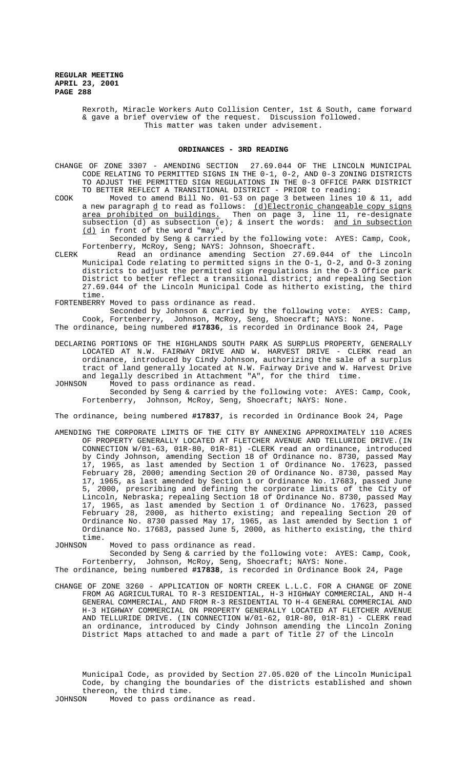> Rexroth, Miracle Workers Auto Collision Center, 1st & South, came forward & gave a brief overview of the request. Discussion followed. This matter was taken under advisement.

#### **ORDINANCES - 3RD READING**

CHANGE OF ZONE 3307 - AMENDING SECTION 27.69.044 OF THE LINCOLN MUNICIPAL CODE RELATING TO PERMITTED SIGNS IN THE 0-1, 0-2, AND 0-3 ZONING DISTRICTS TO ADJUST THE PERMITTED SIGN REGULATIONS IN THE 0-3 OFFICE PARK DISTRICT TO BETTER REFLECT A TRANSITIONAL DISTRICT - PRIOR to reading:

COOK Moved to amend Bill No. 01-53 on page 3 between lines 10 & 11, add a new paragraph <u>d</u> to read as follows: <u>(d)Electronic changeable copy signs</u> area prohibited on buildings. Then on page 3, line 11, re-designate subsection (d) as subsection (e); & insert the words: and in subsection (d) in front of the word "may".

Seconded by Seng & carried by the following vote: AYES: Camp, Cook, Fortenberry, McRoy, Seng; NAYS: Johnson, Shoecraft.

CLERK Read an ordinance amending Section 27.69.044 of the Lincoln Municipal Code relating to permitted signs in the O-1, O-2, and O-3 zoning districts to adjust the permitted sign regulations in the O-3 Office park District to better reflect a transitional district; and repealing Section 27.69.044 of the Lincoln Municipal Code as hitherto existing, the third time.

FORTENBERRY Moved to pass ordinance as read.

Seconded by Johnson & carried by the following vote: AYES: Camp, Cook, Fortenberry, Johnson, McRoy, Seng, Shoecraft; NAYS: None.

The ordinance, being numbered **#17836**, is recorded in Ordinance Book 24, Page

- DECLARING PORTIONS OF THE HIGHLANDS SOUTH PARK AS SURPLUS PROPERTY, GENERALLY LOCATED AT N.W. FAIRWAY DRIVE AND W. HARVEST DRIVE - CLERK read an ordinance, introduced by Cindy Johnson, authorizing the sale of a surplus tract of land generally located at N.W. Fairway Drive and W. Harvest Drive and legally described in Attachment "A", for the third time.<br>JOHNSON Moved to pass ordinance as read.
- Moved to pass ordinance as read. Seconded by Seng & carried by the following vote: AYES: Camp, Cook, Fortenberry, Johnson, McRoy, Seng, Shoecraft; NAYS: None.

The ordinance, being numbered **#17837**, is recorded in Ordinance Book 24, Page

AMENDING THE CORPORATE LIMITS OF THE CITY BY ANNEXING APPROXIMATELY 110 ACRES OF PROPERTY GENERALLY LOCATED AT FLETCHER AVENUE AND TELLURIDE DRIVE.(IN CONNECTION W/01-63, 01R-80, 01R-81) -CLERK read an ordinance, introduced by Cindy Johnson, amending Section 18 of Ordinance no. 8730, passed May 17, 1965, as last amended by Section 1 of Ordinance No. 17623, passed February 28, 2000; amending Section 20 of Ordinance No. 8730, passed May 17, 1965, as last amended by Section 1 or Ordinance No. 17683, passed June 5, 2000, prescribing and defining the corporate limits of the City of Lincoln, Nebraska; repealing Section 18 of Ordinance No. 8730, passed May 17, 1965, as last amended by Section 1 of Ordinance No. 17623, passed February 28, 2000, as hitherto existing; and repealing Section 20 of Ordinance No. 8730 passed May 17, 1965, as last amended by Section 1 of Ordinance No. 17683, passed June 5, 2000, as hitherto existing, the third time.

JOHNSON Moved to pass ordinance as read.

Seconded by Seng & carried by the following vote: AYES: Camp, Cook, Fortenberry, Johnson, McRoy, Seng, Shoecraft; NAYS: None.

The ordinance, being numbered **#17838**, is recorded in Ordinance Book 24, Page

CHANGE OF ZONE 3260 - APPLICATION OF NORTH CREEK L.L.C. FOR A CHANGE OF ZONE FROM AG AGRICULTURAL TO R-3 RESIDENTIAL, H-3 HIGHWAY COMMERCIAL, AND H-4 GENERAL COMMERCIAL, AND FROM R-3 RESIDENTIAL TO H-4 GENERAL COMMERCIAL AND H-3 HIGHWAY COMMERCIAL ON PROPERTY GENERALLY LOCATED AT FLETCHER AVENUE AND TELLURIDE DRIVE. (IN CONNECTION W/01-62, 01R-80, 01R-81) - CLERK read an ordinance, introduced by Cindy Johnson amending the Lincoln Zoning District Maps attached to and made a part of Title 27 of the Lincoln

Municipal Code, as provided by Section 27.05.020 of the Lincoln Municipal Code, by changing the boundaries of the districts established and shown thereon, the third time.

JOHNSON Moved to pass ordinance as read.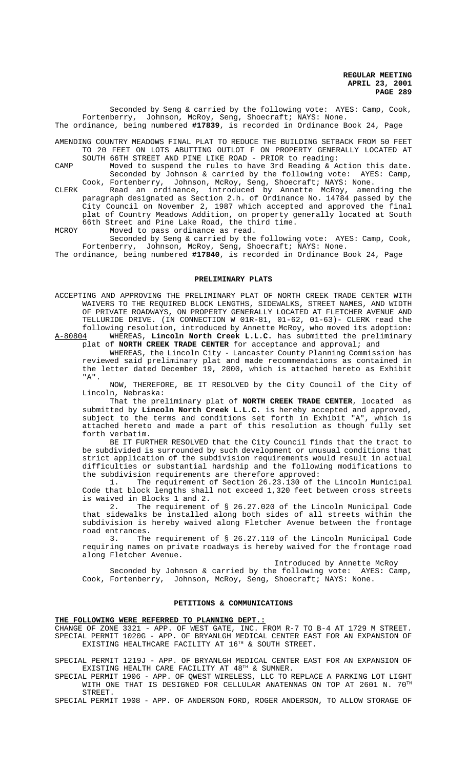Seconded by Seng & carried by the following vote: AYES: Camp, Cook, Fortenberry, Johnson, McRoy, Seng, Shoecraft; NAYS: None. The ordinance, being numbered **#17839**, is recorded in Ordinance Book 24, Page

AMENDING COUNTRY MEADOWS FINAL PLAT TO REDUCE THE BUILDING SETBACK FROM 50 FEET TO 20 FEET ON LOTS ABUTTING OUTLOT F ON PROPERTY GENERALLY LOCATED AT SOUTH 66TH STREET AND PINE LIKE ROAD - PRIOR to reading:

CAMP Moved to suspend the rules to have 3rd Reading & Action this date.<br>Seconded by Johnson & carried by the following vote: AYES: Camp, Seconded by Johnson & carried by the following vote: Cook, Fortenberry, Johnson, McRoy, Seng, Shoecraft; NAYS: None.

CLERK Read an ordinance, introduced by Annette McRoy, amending the paragraph designated as Section 2.h. of Ordinance No. 14784 passed by the City Council on November 2, 1987 which accepted and approved the final plat of Country Meadows Addition, on property generally located at South 66th Street and Pine Lake Road, the third time.

MCROY Moved to pass ordinance as read.

Seconded by Seng & carried by the following vote: AYES: Camp, Cook, Fortenberry, Johnson, McRoy, Seng, Shoecraft; NAYS: None.

The ordinance, being numbered **#17840**, is recorded in Ordinance Book 24, Page

## **PRELIMINARY PLATS**

ACCEPTING AND APPROVING THE PRELIMINARY PLAT OF NORTH CREEK TRADE CENTER WITH WAIVERS TO THE REQUIRED BLOCK LENGTHS, SIDEWALKS, STREET NAMES, AND WIDTH OF PRIVATE ROADWAYS, ON PROPERTY GENERALLY LOCATED AT FLETCHER AVENUE AND TELLURIDE DRIVE. (IN CONNECTION W 01R-81, 01-62, 01-63)- CLERK read the following resolution, introduced by Annette McRoy, who moved its adoption: A-80804 WHEREAS, **Lincoln North Creek L.L.C.** has submitted the preliminary

plat of **NORTH CREEK TRADE CENTER** for acceptance and approval; and WHEREAS, the Lincoln City - Lancaster County Planning Commission has reviewed said preliminary plat and made recommendations as contained in the letter dated December 19, 2000, which is attached hereto as Exhibit "A".

NOW, THEREFORE, BE IT RESOLVED by the City Council of the City of Lincoln, Nebraska:

That the preliminary plat of **NORTH CREEK TRADE CENTER**, located as submitted by **Lincoln North Creek L.L.C.** is hereby accepted and approved, subject to the terms and conditions set forth in Exhibit "A", which is attached hereto and made a part of this resolution as though fully set forth verbatim.

BE IT FURTHER RESOLVED that the City Council finds that the tract to be subdivided is surrounded by such development or unusual conditions that strict application of the subdivision requirements would result in actual difficulties or substantial hardship and the following modifications to the subdivision requirements are therefore approved:

1. The requirement of Section 26.23.130 of the Lincoln Municipal Code that block lengths shall not exceed 1,320 feet between cross streets is waived in Blocks 1 and 2.

2. The requirement of § 26.27.020 of the Lincoln Municipal Code that sidewalks be installed along both sides of all streets within the subdivision is hereby waived along Fletcher Avenue between the frontage road entrances.

3. The requirement of § 26.27.110 of the Lincoln Municipal Code requiring names on private roadways is hereby waived for the frontage road along Fletcher Avenue.

Introduced by Annette McRoy

Seconded by Johnson & carried by the following vote: AYES: Camp, Cook, Fortenberry, Johnson, McRoy, Seng, Shoecraft; NAYS: None.

#### **PETITIONS & COMMUNICATIONS**

**THE FOLLOWING WERE REFERRED TO PLANNING DEPT.:**

CHANGE OF ZONE 3321 - APP. OF WEST GATE, INC. FROM R-7 TO B-4 AT 1729 M STREET. SPECIAL PERMIT 1020G - APP. OF BRYANLGH MEDICAL CENTER EAST FOR AN EXPANSION OF EXISTING HEALTHCARE FACILITY AT 16<sup>TH</sup> & SOUTH STREET.

SPECIAL PERMIT 1219J - APP. OF BRYANLGH MEDICAL CENTER EAST FOR AN EXPANSION OF EXISTING HEALTH CARE FACILITY AT 48TH & SUMNER.

SPECIAL PERMIT 1906 - APP. OF QWEST WIRELESS, LLC TO REPLACE A PARKING LOT LIGHT WITH ONE THAT IS DESIGNED FOR CELLULAR ANATENNAS ON TOP AT 2601 N. 70TH STREET.

SPECIAL PERMIT 1908 - APP. OF ANDERSON FORD, ROGER ANDERSON, TO ALLOW STORAGE OF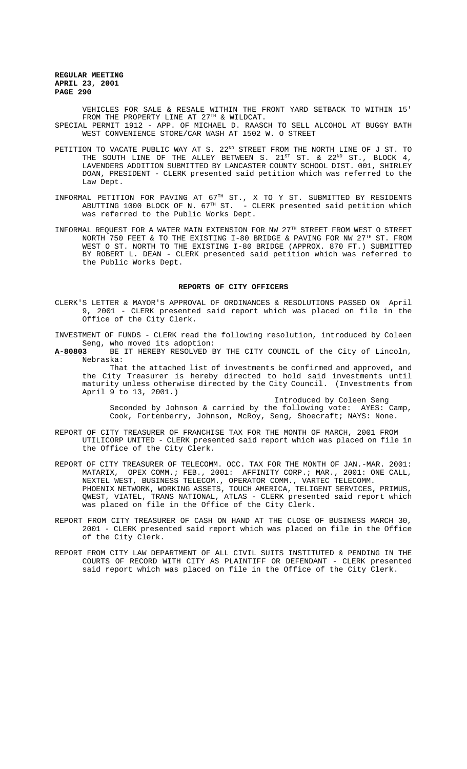VEHICLES FOR SALE & RESALE WITHIN THE FRONT YARD SETBACK TO WITHIN 15' FROM THE PROPERTY LINE AT 27TH & WILDCAT. SPECIAL PERMIT 1912 - APP. OF MICHAEL D. RAASCH TO SELL ALCOHOL AT BUGGY BATH WEST CONVENIENCE STORE/CAR WASH AT 1502 W. O STREET

- PETITION TO VACATE PUBLIC WAY AT S.  $22^{ND}$  STREET FROM THE NORTH LINE OF J ST. TO THE SOUTH LINE OF THE ALLEY BETWEEN S.  $21^\text{ST}$  ST. &  $22^\text{ND}$  ST., BLOCK 4, LAVENDERS ADDITION SUBMITTED BY LANCASTER COUNTY SCHOOL DIST. 001, SHIRLEY DOAN, PRESIDENT - CLERK presented said petition which was referred to the Law Dept.
- INFORMAL PETITION FOR PAVING AT 67TH ST., X TO Y ST. SUBMITTED BY RESIDENTS ABUTTING 1000 BLOCK OF N.  $67^{\texttt{TH}}$  ST.  $\,$  - CLERK presented said petition which was referred to the Public Works Dept.
- INFORMAL REQUEST FOR A WATER MAIN EXTENSION FOR NW 27TH STREET FROM WEST O STREET NORTH 750 FEET & TO THE EXISTING I-80 BRIDGE & PAVING FOR NW 27<sup>TH</sup> ST. FROM WEST O ST. NORTH TO THE EXISTING I-80 BRIDGE (APPROX. 870 FT.) SUBMITTED BY ROBERT L. DEAN - CLERK presented said petition which was referred to the Public Works Dept.

#### **REPORTS OF CITY OFFICERS**

- CLERK'S LETTER & MAYOR'S APPROVAL OF ORDINANCES & RESOLUTIONS PASSED ON April 9, 2001 - CLERK presented said report which was placed on file in the Office of the City Clerk.
- INVESTMENT OF FUNDS CLERK read the following resolution, introduced by Coleen Seng, who moved its adoption:
- **A-80803** BE IT HEREBY RESOLVED BY THE CITY COUNCIL of the City of Lincoln, Nebraska:

That the attached list of investments be confirmed and approved, and the City Treasurer is hereby directed to hold said investments until maturity unless otherwise directed by the City Council. (Investments from April  $9$  to 13, 2001.)

Introduced by Coleen Seng

Seconded by Johnson & carried by the following vote: AYES: Camp, Cook, Fortenberry, Johnson, McRoy, Seng, Shoecraft; NAYS: None.

- REPORT OF CITY TREASURER OF FRANCHISE TAX FOR THE MONTH OF MARCH, 2001 FROM UTILICORP UNITED - CLERK presented said report which was placed on file in the Office of the City Clerk.
- REPORT OF CITY TREASURER OF TELECOMM. OCC. TAX FOR THE MONTH OF JAN.-MAR. 2001:<br>MATARIX. OPEX COMM.; FEB.. 2001: AFFINITY CORP.; MAR.. 2001: ONE CALL. OPEX COMM.; FEB., 2001: AFFINITY CORP.; MAR., 2001: ONE CALL, NEXTEL WEST, BUSINESS TELECOM., OPERATOR COMM., VARTEC TELECOMM. PHOENIX NETWORK, WORKING ASSETS, TOUCH AMERICA, TELIGENT SERVICES, PRIMUS, QWEST, VIATEL, TRANS NATIONAL, ATLAS - CLERK presented said report which was placed on file in the Office of the City Clerk.
- REPORT FROM CITY TREASURER OF CASH ON HAND AT THE CLOSE OF BUSINESS MARCH 30, 2001 - CLERK presented said report which was placed on file in the Office of the City Clerk.
- REPORT FROM CITY LAW DEPARTMENT OF ALL CIVIL SUITS INSTITUTED & PENDING IN THE COURTS OF RECORD WITH CITY AS PLAINTIFF OR DEFENDANT - CLERK presented said report which was placed on file in the Office of the City Clerk.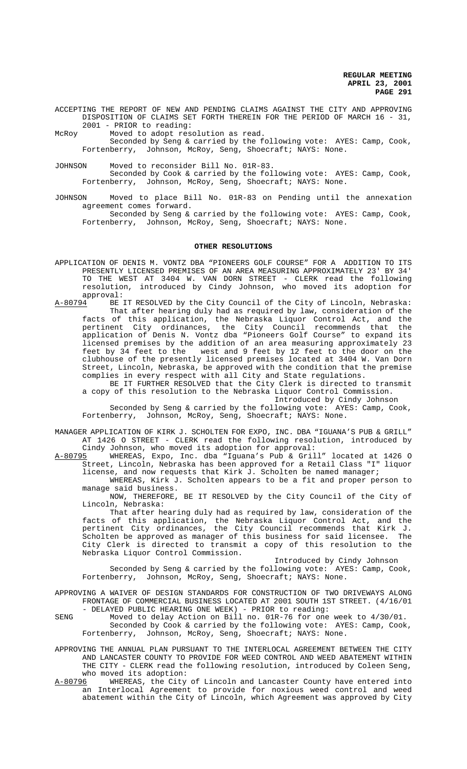ACCEPTING THE REPORT OF NEW AND PENDING CLAIMS AGAINST THE CITY AND APPROVING DISPOSITION OF CLAIMS SET FORTH THEREIN FOR THE PERIOD OF MARCH 16 - 31, 2001 - PRIOR to reading:

McRoy Moved to adopt resolution as read.

Seconded by Seng & carried by the following vote: AYES: Camp, Cook, Fortenberry, Johnson, McRoy, Seng, Shoecraft; NAYS: None.

JOHNSON Moved to reconsider Bill No. 01R-83.

Seconded by Cook & carried by the following vote: AYES: Camp, Cook, Fortenberry, Johnson, McRoy, Seng, Shoecraft; NAYS: None.

JOHNSON Moved to place Bill No. 01R-83 on Pending until the annexation agreement comes forward. Seconded by Seng & carried by the following vote: AYES: Camp, Cook, Fortenberry, Johnson, McRoy, Seng, Shoecraft; NAYS: None.

#### **OTHER RESOLUTIONS**

- APPLICATION OF DENIS M. VONTZ DBA "PIONEERS GOLF COURSE" FOR A ADDITION TO ITS PRESENTLY LICENSED PREMISES OF AN AREA MEASURING APPROXIMATELY 23' BY 34' TO THE WEST AT 3404 W. VAN DORN STREET - CLERK read the following resolution, introduced by Cindy Johnson, who moved its adoption for approval:<br>A-80794 BE J
- BE IT RESOLVED by the City Council of the City of Lincoln, Nebraska: That after hearing duly had as required by law, consideration of the facts of this application, the Nebraska Liquor Control Act, and the pertinent City ordinances, the City Council recommends that the application of Denis N. Vontz dba "Pioneers Golf Course" to expand its licensed premises by the addition of an area measuring approximately 23 feet by 34 feet to the west and 9 feet by 12 feet to the door on the clubhouse of the presently licensed premises located at 3404 W. Van Dorn Street, Lincoln, Nebraska, be approved with the condition that the premise complies in every respect with all City and State regulations.

BE IT FURTHER RESOLVED that the City Clerk is directed to transmit a copy of this resolution to the Nebraska Liquor Control Commission. Introduced by Cindy Johnson

Seconded by Seng & carried by the following vote: AYES: Camp, Cook, Fortenberry, Johnson, McRoy, Seng, Shoecraft; NAYS: None.

MANAGER APPLICATION OF KIRK J. SCHOLTEN FOR EXPO, INC. DBA "IGUANA'S PUB & GRILL" AT 1426 O STREET - CLERK read the following resolution, introduced by

Cindy Johnson, who moved its adoption for approval:<br>A-80795 WHEREAS, Expo, Inc. dba "Iguana's Pub & Gril WHEREAS, Expo, Inc. dba "Iguana's Pub & Grill" located at 1426 O Street, Lincoln, Nebraska has been approved for a Retail Class "I" liquor license, and now requests that Kirk J. Scholten be named manager;

WHEREAS, Kirk J. Scholten appears to be a fit and proper person to manage said business.

NOW, THEREFORE, BE IT RESOLVED by the City Council of the City of Lincoln, Nebraska:

That after hearing duly had as required by law, consideration of the facts of this application, the Nebraska Liquor Control Act, and the pertinent City ordinances, the City Council recommends that Kirk J. Scholten be approved as manager of this business for said licensee. The City Clerk is directed to transmit a copy of this resolution to the Nebraska Liquor Control Commission.

Introduced by Cindy Johnson

Seconded by Seng & carried by the following vote: AYES: Camp, Cook, Fortenberry, Johnson, McRoy, Seng, Shoecraft; NAYS: None.

APPROVING A WAIVER OF DESIGN STANDARDS FOR CONSTRUCTION OF TWO DRIVEWAYS ALONG FRONTAGE OF COMMERCIAL BUSINESS LOCATED AT 2001 SOUTH 1ST STREET. (4/16/01 - DELAYED PUBLIC HEARING ONE WEEK) - PRIOR to reading:

SENG Moved to delay Action on Bill no. 01R-76 for one week to 4/30/01. Seconded by Cook & carried by the following vote: AYES: Camp, Cook, Fortenberry, Johnson, McRoy, Seng, Shoecraft; NAYS: None.

APPROVING THE ANNUAL PLAN PURSUANT TO THE INTERLOCAL AGREEMENT BETWEEN THE CITY AND LANCASTER COUNTY TO PROVIDE FOR WEED CONTROL AND WEED ABATEMENT WITHIN THE CITY - CLERK read the following resolution, introduced by Coleen Seng, who moved its adoption:

A-80796 MHEREAS, the City of Lincoln and Lancaster County have entered into an Interlocal Agreement to provide for noxious weed control and weed abatement within the City of Lincoln, which Agreement was approved by City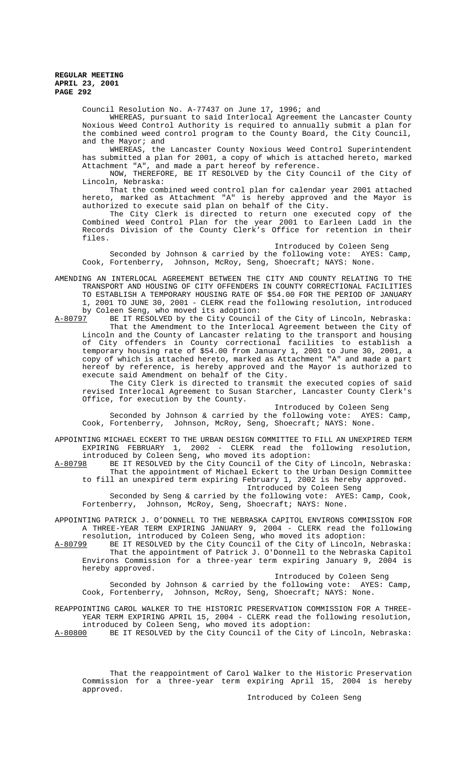Council Resolution No. A-77437 on June 17, 1996; and

WHEREAS, pursuant to said Interlocal Agreement the Lancaster County Noxious Weed Control Authority is required to annually submit a plan for the combined weed control program to the County Board, the City Council, and the Mayor; and

WHEREAS, the Lancaster County Noxious Weed Control Superintendent has submitted a plan for 2001, a copy of which is attached hereto, marked Attachment "A", and made a part hereof by reference.

NOW, THEREFORE, BE IT RESOLVED by the City Council of the City of Lincoln, Nebraska:

That the combined weed control plan for calendar year 2001 attached hereto, marked as Attachment "A" is hereby approved and the Mayor is authorized to execute said plan on behalf of the City.

The City Clerk is directed to return one executed copy of the Combined Weed Control Plan for the year 2001 to Earleen Ladd in the Records Division of the County Clerk's Office for retention in their files.

Introduced by Coleen Seng

Seconded by Johnson & carried by the following vote: AYES: Camp, Cook, Fortenberry, Johnson, McRoy, Seng, Shoecraft; NAYS: None.

AMENDING AN INTERLOCAL AGREEMENT BETWEEN THE CITY AND COUNTY RELATING TO THE TRANSPORT AND HOUSING OF CITY OFFENDERS IN COUNTY CORRECTIONAL FACILITIES TO ESTABLISH A TEMPORARY HOUSING RATE OF \$54.00 FOR THE PERIOD OF JANUARY 1, 2001 TO JUNE 30, 2001 - CLERK read the following resolution, introduced by Coleen Seng, who moved its adoption:<br>A-80797 BE IT RESOLVED by the City Council

BE IT RESOLVED by the City Council of the City of Lincoln, Nebraska: That the Amendment to the Interlocal Agreement between the City of Lincoln and the County of Lancaster relating to the transport and housing of City offenders in County correctional facilities to establish a temporary housing rate of \$54.00 from January 1, 2001 to June 30, 2001, a copy of which is attached hereto, marked as Attachment "A" and made a part hereof by reference, is hereby approved and the Mayor is authorized to execute said Amendment on behalf of the City.

 The City Clerk is directed to transmit the executed copies of said revised Interlocal Agreement to Susan Starcher, Lancaster County Clerk's Office, for execution by the County.

Introduced by Coleen Seng

Seconded by Johnson & carried by the following vote: AYES: Camp, Cook, Fortenberry, Johnson, McRoy, Seng, Shoecraft; NAYS: None.

APPOINTING MICHAEL ECKERT TO THE URBAN DESIGN COMMITTEE TO FILL AN UNEXPIRED TERM EXPIRING FEBRUARY 1, 2002 - CLERK read the following resolution, introduced by Coleen Seng, who moved its adoption:

A-80798 BE IT RESOLVED by the City Council of the City of Lincoln, Nebraska: That the appointment of Michael Eckert to the Urban Design Committee to fill an unexpired term expiring February 1, 2002 is hereby approved. Introduced by Coleen Seng

Seconded by Seng & carried by the following vote: AYES: Camp, Cook, Fortenberry, Johnson, McRoy, Seng, Shoecraft; NAYS: None.

APPOINTING PATRICK J. O'DONNELL TO THE NEBRASKA CAPITOL ENVIRONS COMMISSION FOR A THREE-YEAR TERM EXPIRING JANUARY 9, 2004 - CLERK read the following resolution, introduced by Coleen Seng, who moved its adoption:

A-80799 BE IT RESOLVED by the City Council of the City of Lincoln, Nebraska: That the appointment of Patrick J. O'Donnell to the Nebraska Capitol Environs Commission for a three-year term expiring January 9, 2004 is hereby approved.

Introduced by Coleen Seng Seconded by Johnson & carried by the following vote: AYES: Camp,

Cook, Fortenberry, Johnson, McRoy, Seng, Shoecraft; NAYS: None.

REAPPOINTING CAROL WALKER TO THE HISTORIC PRESERVATION COMMISSION FOR A THREE-YEAR TERM EXPIRING APRIL 15, 2004 - CLERK read the following resolution,

introduced by Coleen Seng, who moved its adoption:<br>A-80800 BE IT RESOLVED by the City Council of the City BE IT RESOLVED by the City Council of the City of Lincoln, Nebraska:

That the reappointment of Carol Walker to the Historic Preservation Commission for a three-year term expiring April 15, 2004 is hereby approved.

Introduced by Coleen Seng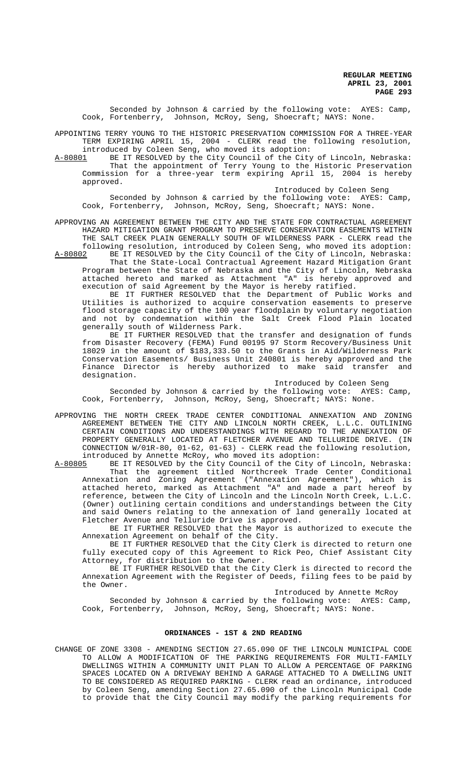Seconded by Johnson & carried by the following vote: AYES: Camp, Cook, Fortenberry, Johnson, McRoy, Seng, Shoecraft; NAYS: None.

APPOINTING TERRY YOUNG TO THE HISTORIC PRESERVATION COMMISSION FOR A THREE-YEAR TERM EXPIRING APRIL 15, 2004 - CLERK read the following resolution, introduced by Coleen Seng, who moved its adoption:

A-80801 BE IT RESOLVED by the City Council of the City of Lincoln, Nebraska: That the appointment of Terry Young to the Historic Preservation Commission for a three-year term expiring April 15, 2004 is hereby approved.

Introduced by Coleen Seng

Seconded by Johnson & carried by the following vote: AYES: Camp, Cook, Fortenberry, Johnson, McRoy, Seng, Shoecraft; NAYS: None.

APPROVING AN AGREEMENT BETWEEN THE CITY AND THE STATE FOR CONTRACTUAL AGREEMENT HAZARD MITIGATION GRANT PROGRAM TO PRESERVE CONSERVATION EASEMENTS WITHIN THE SALT CREEK PLAIN GENERALLY SOUTH OF WILDERNESS PARK - CLERK read the following resolution, introduced by Coleen Seng, who moved its adoption:

A-80802 BE IT RESOLVED by the City Council of the City of Lincoln, Nebraska: That the State-Local Contractual Agreement Hazard Mitigation Grant Program between the State of Nebraska and the City of Lincoln, Nebraska

attached hereto and marked as Attachment "A" is hereby approved and execution of said Agreement by the Mayor is hereby ratified. BE IT FURTHER RESOLVED that the Department of Public Works and

Utilities is authorized to acquire conservation easements to preserve flood storage capacity of the 100 year floodplain by voluntary negotiation and not by condemnation within the Salt Creek Flood Plain located generally south of Wilderness Park.

BE IT FURTHER RESOLVED that the transfer and designation of funds from Disaster Recovery (FEMA) Fund 00195 97 Storm Recovery/Business Unit 18029 in the amount of \$183,333.50 to the Grants in Aid/Wilderness Park Conservation Easements/ Business Unit 240801 is hereby approved and the Finance Director is hereby authorized to make said transfer and designation.

Introduced by Coleen Seng

Seconded by Johnson & carried by the following vote: AYES: Camp, Cook, Fortenberry, Johnson, McRoy, Seng, Shoecraft; NAYS: None.

APPROVING THE NORTH CREEK TRADE CENTER CONDITIONAL ANNEXATION AND ZONING AGREEMENT BETWEEN THE CITY AND LINCOLN NORTH CREEK, L.L.C. OUTLINING CERTAIN CONDITIONS AND UNDERSTANDINGS WITH REGARD TO THE ANNEXATION OF PROPERTY GENERALLY LOCATED AT FLETCHER AVENUE AND TELLURIDE DRIVE. (IN CONNECTION W/01R-80, 01-62, 01-63) - CLERK read the following resolution,

introduced by Annette McRoy, who moved its adoption:<br>A-80805 BE IT RESOLVED by the City Council of the City of BE IT RESOLVED by the City Council of the City of Lincoln, Nebraska: That the agreement titled Northcreek Trade Center Conditional Annexation and Zoning Agreement ("Annexation Agreement"), which is attached hereto, marked as Attachment "A" and made a part hereof by reference, between the City of Lincoln and the Lincoln North Creek, L.L.C. (Owner) outlining certain conditions and understandings between the City and said Owners relating to the annexation of land generally located at Fletcher Avenue and Telluride Drive is approved.

BE IT FURTHER RESOLVED that the Mayor is authorized to execute the Annexation Agreement on behalf of the City.

BE IT FURTHER RESOLVED that the City Clerk is directed to return one fully executed copy of this Agreement to Rick Peo, Chief Assistant City Attorney, for distribution to the Owner.

BE IT FURTHER RESOLVED that the City Clerk is directed to record the Annexation Agreement with the Register of Deeds, filing fees to be paid by the Owner.

Introduced by Annette McRoy

Seconded by Johnson & carried by the following vote: AYES: Camp, Cook, Fortenberry, Johnson, McRoy, Seng, Shoecraft; NAYS: None.

# **ORDINANCES - 1ST & 2ND READING**

CHANGE OF ZONE 3308 - AMENDING SECTION 27.65.090 OF THE LINCOLN MUNICIPAL CODE TO ALLOW A MODIFICATION OF THE PARKING REQUIREMENTS FOR MULTI-FAMILY DWELLINGS WITHIN A COMMUNITY UNIT PLAN TO ALLOW A PERCENTAGE OF PARKING SPACES LOCATED ON A DRIVEWAY BEHIND A GARAGE ATTACHED TO A DWELLING UNIT TO BE CONSIDERED AS REQUIRED PARKING - CLERK read an ordinance, introduced by Coleen Seng, amending Section 27.65.090 of the Lincoln Municipal Code to provide that the City Council may modify the parking requirements for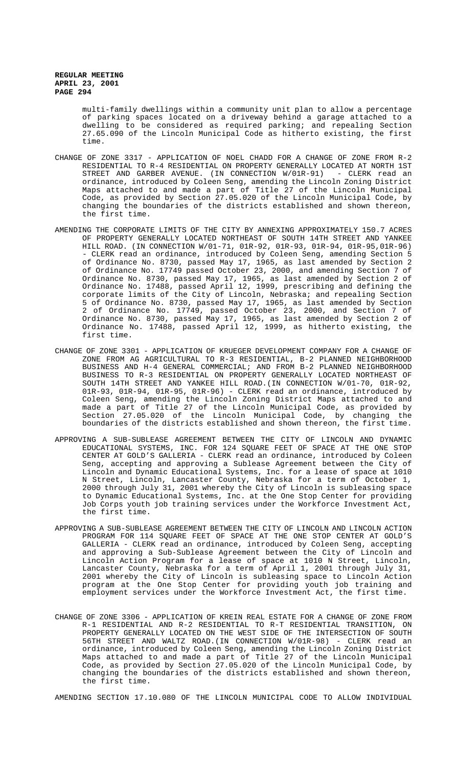> multi-family dwellings within a community unit plan to allow a percentage of parking spaces located on a driveway behind a garage attached to a dwelling to be considered as required parking; and repealing Section 27.65.090 of the Lincoln Municipal Code as hitherto existing, the first time.

- CHANGE OF ZONE 3317 APPLICATION OF NOEL CHADD FOR A CHANGE OF ZONE FROM R-2 RESIDENTIAL TO R-4 RESIDENTIAL ON PROPERTY GENERALLY LOCATED AT NORTH 1ST STREET AND GARBER AVENUE. (IN CONNECTION W/01R-91) - CLERK read an ordinance, introduced by Coleen Seng, amending the Lincoln Zoning District Maps attached to and made a part of Title 27 of the Lincoln Municipal Code, as provided by Section 27.05.020 of the Lincoln Municipal Code, by changing the boundaries of the districts established and shown thereon, the first time.
- AMENDING THE CORPORATE LIMITS OF THE CITY BY ANNEXING APPROXIMATELY 150.7 ACRES OF PROPERTY GENERALLY LOCATED NORTHEAST OF SOUTH 14TH STREET AND YANKEE HILL ROAD. (IN CONNECTION W/01-71, 01R-92, 01R-93, 01R-94, 01R-95,01R-96) - CLERK read an ordinance, introduced by Coleen Seng, amending Section 5 of Ordinance No. 8730, passed May 17, 1965, as last amended by Section 2 of Ordinance No. 17749 passed October 23, 2000, and amending Section 7 of Ordinance No. 8730, passed May 17, 1965, as last amended by Section 2 of Ordinance No. 17488, passed April 12, 1999, prescribing and defining the corporate limits of the City of Lincoln, Nebraska; and repealing Section 5 of Ordinance No. 8730, passed May 17, 1965, as last amended by Section 2 of Ordinance No. 17749, passed October 23, 2000, and Section 7 of Ordinance No. 8730, passed May 17, 1965, as last amended by Section 2 of Ordinance No. 17488, passed April 12, 1999, as hitherto existing, the first time.
- CHANGE OF ZONE 3301 APPLICATION OF KRUEGER DEVELOPMENT COMPANY FOR A CHANGE OF ZONE FROM AG AGRICULTURAL TO R-3 RESIDENTIAL, B-2 PLANNED NEIGHBORHOOD BUSINESS AND H-4 GENERAL COMMERCIAL; AND FROM B-2 PLANNED NEIGHBORHOOD BUSINESS TO R-3 RESIDENTIAL ON PROPERTY GENERALLY LOCATED NORTHEAST OF SOUTH 14TH STREET AND YANKEE HILL ROAD.(IN CONNECTION W/01-70, 01R-92, 01R-93, 01R-94, 01R-95, 01R-96) - CLERK read an ordinance, introduced by Coleen Seng, amending the Lincoln Zoning District Maps attached to and made a part of Title 27 of the Lincoln Municipal Code, as provided by Section 27.05.020 of the Lincoln Municipal Code, by changing the boundaries of the districts established and shown thereon, the first time.
- APPROVING A SUB-SUBLEASE AGREEMENT BETWEEN THE CITY OF LINCOLN AND DYNAMIC EDUCATIONAL SYSTEMS, INC. FOR 124 SQUARE FEET OF SPACE AT THE ONE STOP CENTER AT GOLD'S GALLERIA - CLERK read an ordinance, introduced by Coleen Seng, accepting and approving a Sublease Agreement between the City of Lincoln and Dynamic Educational Systems, Inc. for a lease of space at 1010 N Street, Lincoln, Lancaster County, Nebraska for a term of October 1, 2000 through July 31, 2001 whereby the City of Lincoln is subleasing space to Dynamic Educational Systems, Inc. at the One Stop Center for providing Job Corps youth job training services under the Workforce Investment Act, the first time.
- APPROVING A SUB-SUBLEASE AGREEMENT BETWEEN THE CITY OF LINCOLN AND LINCOLN ACTION PROGRAM FOR 114 SQUARE FEET OF SPACE AT THE ONE STOP CENTER AT GOLD'S GALLERIA - CLERK read an ordinance, introduced by Coleen Seng, accepting and approving a Sub-Sublease Agreement between the City of Lincoln and Lincoln Action Program for a lease of space at 1010 N Street, Lincoln, Lancaster County, Nebraska for a term of April 1, 2001 through July 31, 2001 whereby the City of Lincoln is subleasing space to Lincoln Action program at the One Stop Center for providing youth job training and employment services under the Workforce Investment Act, the first time.
- CHANGE OF ZONE 3306 APPLICATION OF KREIN REAL ESTATE FOR A CHANGE OF ZONE FROM R-1 RESIDENTIAL AND R-2 RESIDENTIAL TO R-T RESIDENTIAL TRANSITION, ON PROPERTY GENERALLY LOCATED ON THE WEST SIDE OF THE INTERSECTION OF SOUTH 56TH STREET AND WALTZ ROAD.(IN CONNECTION W/01R-98) - CLERK read an ordinance, introduced by Coleen Seng, amending the Lincoln Zoning District Maps attached to and made a part of Title 27 of the Lincoln Municipal Code, as provided by Section 27.05.020 of the Lincoln Municipal Code, by changing the boundaries of the districts established and shown thereon, the first time.

AMENDING SECTION 17.10.080 OF THE LINCOLN MUNICIPAL CODE TO ALLOW INDIVIDUAL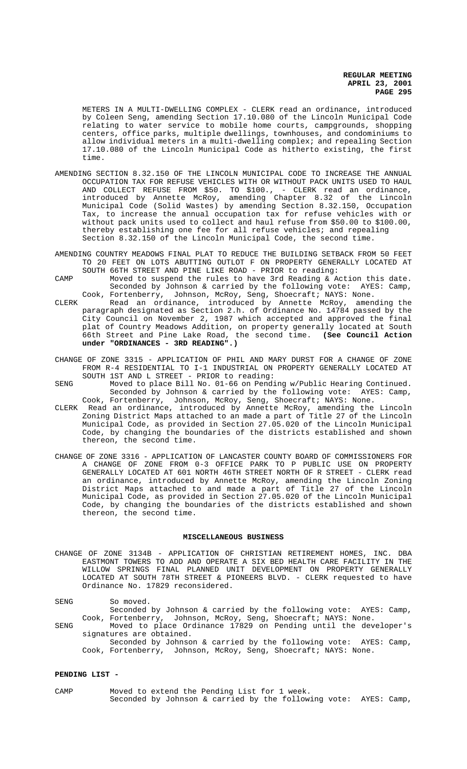METERS IN A MULTI-DWELLING COMPLEX - CLERK read an ordinance, introduced by Coleen Seng, amending Section 17.10.080 of the Lincoln Municipal Code relating to water service to mobile home courts, campgrounds, shopping centers, office parks, multiple dwellings, townhouses, and condominiums to allow individual meters in a multi-dwelling complex; and repealing Section 17.10.080 of the Lincoln Municipal Code as hitherto existing, the first time.

- AMENDING SECTION 8.32.150 OF THE LINCOLN MUNICIPAL CODE TO INCREASE THE ANNUAL OCCUPATION TAX FOR REFUSE VEHICLES WITH OR WITHOUT PACK UNITS USED TO HAUL AND COLLECT REFUSE FROM \$50. TO \$100., - CLERK read an ordinance, introduced by Annette McRoy, amending Chapter 8.32 of the Lincoln Municipal Code (Solid Wastes) by amending Section 8.32.150, Occupation Tax, to increase the annual occupation tax for refuse vehicles with or without pack units used to collect and haul refuse from \$50.00 to \$100.00, thereby establishing one fee for all refuse vehicles; and repealing Section 8.32.150 of the Lincoln Municipal Code, the second time.
- AMENDING COUNTRY MEADOWS FINAL PLAT TO REDUCE THE BUILDING SETBACK FROM 50 FEET TO 20 FEET ON LOTS ABUTTING OUTLOT F ON PROPERTY GENERALLY LOCATED AT SOUTH 66TH STREET AND PINE LIKE ROAD - PRIOR to reading:
- CAMP Moved to suspend the rules to have 3rd Reading & Action this date. Seconded by Johnson & carried by the following vote: AYES: Camp,<br>Cook, Fortenberry, Johnson, McRoy, Seng, Shoecraft; NAYS: None. Johnson, McRoy, Seng, Shoecraft; NAYS: None.
- CLERK Read an ordinance, introduced by Annette McRoy, amending the paragraph designated as Section 2.h. of Ordinance No. 14784 passed by the City Council on November 2, 1987 which accepted and approved the final plat of Country Meadows Addition, on property generally located at South 66th Street and Pine Lake Road, the second time. **(See Council Action under "ORDINANCES - 3RD READING".)**
- CHANGE OF ZONE 3315 APPLICATION OF PHIL AND MARY DURST FOR A CHANGE OF ZONE FROM R-4 RESIDENTIAL TO I-1 INDUSTRIAL ON PROPERTY GENERALLY LOCATED AT SOUTH 1ST AND L STREET - PRIOR to reading:
- SENG Moved to place Bill No. 01-66 on Pending w/Public Hearing Continued. Seconded by Johnson & carried by the following vote: AYES: Camp, Cook, Fortenberry, Johnson, McRoy, Seng, Shoecraft; NAYS: None.
- CLERK Read an ordinance, introduced by Annette McRoy, amending the Lincoln Zoning District Maps attached to an made a part of Title 27 of the Lincoln Municipal Code, as provided in Section 27.05.020 of the Lincoln Municipal Code, by changing the boundaries of the districts established and shown thereon, the second time.
- CHANGE OF ZONE 3316 APPLICATION OF LANCASTER COUNTY BOARD OF COMMISSIONERS FOR A CHANGE OF ZONE FROM 0-3 OFFICE PARK TO P PUBLIC USE ON PROPERTY GENERALLY LOCATED AT 601 NORTH 46TH STREET NORTH OF R STREET - CLERK read an ordinance, introduced by Annette McRoy, amending the Lincoln Zoning District Maps attached to and made a part of Title 27 of the Lincoln Municipal Code, as provided in Section 27.05.020 of the Lincoln Municipal Code, by changing the boundaries of the districts established and shown thereon, the second time.

#### **MISCELLANEOUS BUSINESS**

CHANGE OF ZONE 3134B - APPLICATION OF CHRISTIAN RETIREMENT HOMES, INC. DBA EASTMONT TOWERS TO ADD AND OPERATE A SIX BED HEALTH CARE FACILITY IN THE WILLOW SPRINGS FINAL PLANNED UNIT DEVELOPMENT ON PROPERTY GENERALLY LOCATED AT SOUTH 78TH STREET & PIONEERS BLVD. - CLERK requested to have Ordinance No. 17829 reconsidered.

SENG So moved.

Seconded by Johnson & carried by the following vote: AYES: Camp, Cook, Fortenberry, Johnson, McRoy, Seng, Shoecraft; NAYS: None.

SENG Moved to place Ordinance 17829 on Pending until the developer's signatures are obtained.

Seconded by Johnson & carried by the following vote: AYES: Camp, Cook, Fortenberry, Johnson, McRoy, Seng, Shoecraft; NAYS: None.

### **PENDING LIST -**

CAMP Moved to extend the Pending List for 1 week. Seconded by Johnson & carried by the following vote: AYES: Camp,